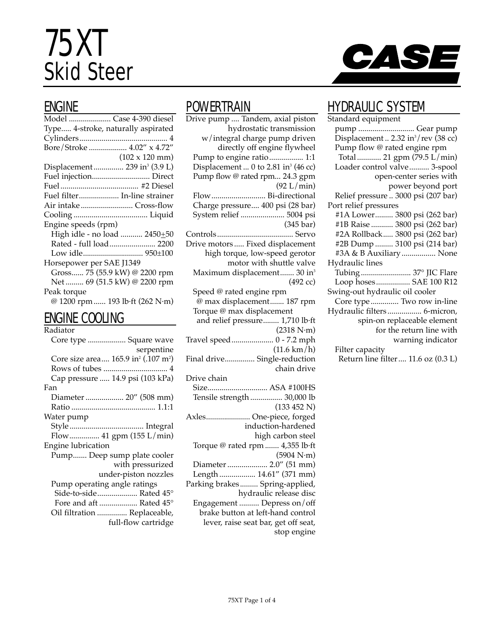# 75XT Skid Steer



### ENGINE

| Model  Case 4-390 diesel                  |                                 |
|-------------------------------------------|---------------------------------|
| Type 4-stroke, naturally aspirated        |                                 |
|                                           |                                 |
| Bore/Stroke  4.02" x 4.72"                |                                 |
|                                           | $(102 \times 120 \text{ mm})$   |
| Displacement  239 in <sup>3</sup> (3.9 L) |                                 |
| Fuel injection Direct                     |                                 |
|                                           |                                 |
| Fuel filter In-line strainer              |                                 |
|                                           |                                 |
|                                           |                                 |
| Engine speeds (rpm)                       |                                 |
|                                           | High idle - no load  2450+50    |
|                                           | Rated - full load 2200          |
|                                           |                                 |
| Horsepower per SAE J1349                  |                                 |
|                                           | Gross 75 (55.9 kW) @ 2200 rpm   |
|                                           | Net  69 (51.5 kW) @ 2200 rpm    |
| Peak torque                               |                                 |
|                                           | @ 1200 rpm  193 lb·ft (262 N·m) |
|                                           |                                 |

#### ENGINE COOLING

#### **POWERTRAIN**

Drive pump .... Tandem, axial piston hydrostatic transmission w/integral charge pump driven directly off engine flywheel Pump to engine ratio................. 1:1 Displacement ... 0 to 2.81 in<sup>3</sup> (46 cc) Pump flow @ rated rpm... 24.3 gpm (92 L/min) Flow........................... Bi-directional Charge pressure.... 400 psi (28 bar) System relief ...................... 5004 psi (345 bar) Controls...................................... Servo Drive motors ..... Fixed displacement high torque, low-speed gerotor motor with shuttle valve Maximum displacement....... 30 in<sup>3</sup> (492 cc) Speed @ rated engine rpm @ max displacement....... 187 rpm Torque @ max displacement and relief pressure........ 1,710 lb·ft (2318 N·m) Travel speed..................... 0 - 7.2 mph (11.6 km/h) Final drive............... Single-reduction chain drive Drive chain Size.............................. ASA #100HS Tensile strength ................ 30,000 lb (133 452 N) Axles...................... One-piece, forged induction-hardened high carbon steel Torque @ rated rpm ....... 4,355 lb·ft (5904 N·m) Diameter ..................... 2.0" (51 mm) Length .................. 14.61" (371 mm) Parking brakes......... Spring-applied, hydraulic release disc Engagement .......... Depress on/off brake button at left-hand control lever, raise seat bar, get off seat, stop engine

### HYDRAULIC SYSTEM

| Standard equipment                              |
|-------------------------------------------------|
|                                                 |
| Displacement  2.32 in <sup>3</sup> /rev (38 cc) |
| Pump flow @ rated engine rpm                    |
| Total  21 gpm (79.5 L/min)                      |
| Loader control valve 3-spool                    |
| open-center series with                         |
| power beyond port                               |
| Relief pressure  3000 psi (207 bar)             |
| Port relief pressures                           |
| #1A Lower 3800 psi (262 bar)                    |
| #1B Raise  3800 psi (262 bar)                   |
| #2A Rollback 3800 psi (262 bar)                 |
| #2B Dump  3100 psi (214 bar)                    |
| #3A & B Auxiliary  None                         |
| Hydraulic lines                                 |
|                                                 |
| Tubing  37° JIC Flare<br>Loop hoses SAE 100 R12 |
|                                                 |
| Swing-out hydraulic oil cooler                  |
| Core type  Two row in-line                      |
| Hydraulic filters  6-micron,                    |
| spin-on replaceable element                     |
| for the return line with                        |
| warning indicator                               |
| Filter capacity                                 |
| Return line filter  11.6 oz (0.3 L)             |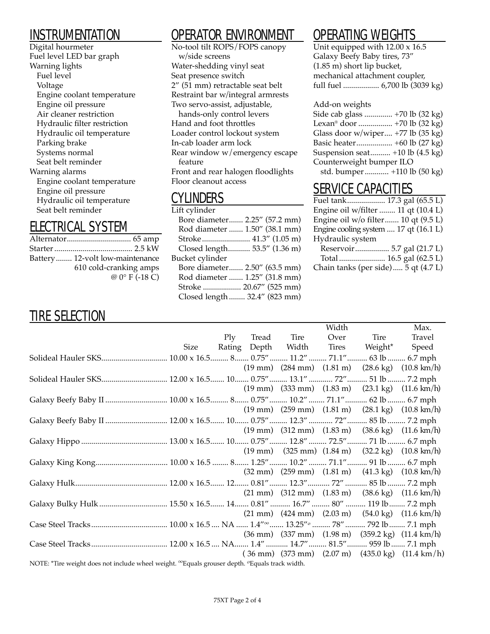### INSTRUMENTATION

Digital hourmeter Fuel level LED bar graph Warning lights Fuel level Voltage Engine coolant temperature Engine oil pressure Air cleaner restriction Hydraulic filter restriction Hydraulic oil temperature Parking brake Systems normal Seat belt reminder Warning alarms Engine coolant temperature Engine oil pressure Hydraulic oil temperature Seat belt reminder

### ELECTRICAL SYSTEM

| Battery 12-volt low-maintenance |
|---------------------------------|
| 610 cold-cranking amps          |
| $@0°$ F (-18 C)                 |

# OPERATOR ENVIRONMENT

No-tool tilt ROPS/FOPS canopy w/side screens Water-shedding vinyl seat Seat presence switch  $2''$  (51 mm) retractable seat belt Restraint bar w/integral armrests Two servo-assist, adjustable, hands-only control levers Hand and foot throttles Loader control lockout system In-cab loader arm lock Rear window w/emergency escape feature Front and rear halogen floodlights Floor cleanout access

### CYLINDERS

| Lift cylinder                 |  |
|-------------------------------|--|
| Bore diameter 2.25" (57.2 mm) |  |
| Rod diameter  1.50" (38.1 mm) |  |
| Stroke 41.3" (1.05 m)         |  |
| Closed length 53.5" (1.36 m)  |  |
| Bucket cylinder               |  |
| Bore diameter 2.50" (63.5 mm) |  |
| Rod diameter  1.25" (31.8 mm) |  |
| Stroke  20.67" (525 mm)       |  |
| Closed length  32.4" (823 mm) |  |
|                               |  |

# OPERATING WEIGHTS

Unit equipped with  $12.00 \times 16.5$ Galaxy Beefy Baby tires, 73" (1.85 m) short lip bucket, mechanical attachment coupler, full fuel .................. 6,700 lb (3039 kg)

#### Add-on weights

| Side cab glass  +70 lb (32 kg)          |
|-----------------------------------------|
| Lexan <sup>®</sup> door  +70 lb (32 kg) |
| Glass door w/wiper $+77$ lb (35 kg)     |
|                                         |
| Suspension seat +10 lb (4.5 kg)         |
| Counterweight bumper ILO                |
| std. bumper +110 lb (50 kg)             |

## SERVICE CAPACITIES

| Engine oil w/filter  11 qt (10.4 L)   |  |
|---------------------------------------|--|
| Engine oil w/o filter 10 qt (9.5 L)   |  |
| Engine cooling system  17 qt (16.1 L) |  |
| Hydraulic system                      |  |
| Reservoir 5.7 gal (21.7 L)            |  |
|                                       |  |
| Chain tanks (per side) 5 qt (4.7 L)   |  |

## TIRE SELECTION

|                                                                                                                       |      |     |                    | Width |               | Max.                                                                                               |
|-----------------------------------------------------------------------------------------------------------------------|------|-----|--------------------|-------|---------------|----------------------------------------------------------------------------------------------------|
|                                                                                                                       |      | Plv | Tread Tire         | Over  | Tire          | Travel                                                                                             |
|                                                                                                                       | Size |     | Rating Depth Width |       | Tires Weight* | Speed                                                                                              |
|                                                                                                                       |      |     |                    |       |               |                                                                                                    |
|                                                                                                                       |      |     |                    |       |               | $(19 \text{ mm})$ $(284 \text{ mm})$ $(1.81 \text{ m})$ $(28.6 \text{ kg})$ $(10.8 \text{ km/h})$  |
|                                                                                                                       |      |     |                    |       |               |                                                                                                    |
|                                                                                                                       |      |     |                    |       |               | $(19 \text{ mm})$ $(333 \text{ mm})$ $(1.83 \text{ m})$ $(23.1 \text{ kg})$ $(11.6 \text{ km/h})$  |
|                                                                                                                       |      |     |                    |       |               |                                                                                                    |
|                                                                                                                       |      |     |                    |       |               | $(19 \text{ mm})$ $(259 \text{ mm})$ $(1.81 \text{ m})$ $(28.1 \text{ kg})$ $(10.8 \text{ km/h})$  |
| Galaxy Beefy Baby II  12.00 x 16.5 10 0.75" 12.3"  72" 85 lb  7.2 mph                                                 |      |     |                    |       |               |                                                                                                    |
|                                                                                                                       |      |     |                    |       |               | $(19 \text{ mm})$ $(312 \text{ mm})$ $(1.83 \text{ m})$ $(38.6 \text{ kg})$ $(11.6 \text{ km/h})$  |
|                                                                                                                       |      |     |                    |       |               |                                                                                                    |
|                                                                                                                       |      |     |                    |       |               | $(19 \text{ mm})$ $(325 \text{ mm})$ $(1.84 \text{ m})$ $(32.2 \text{ kg})$ $(10.8 \text{ km/h})$  |
|                                                                                                                       |      |     |                    |       |               |                                                                                                    |
|                                                                                                                       |      |     |                    |       |               | $(32 \text{ mm})$ $(259 \text{ mm})$ $(1.81 \text{ m})$ $(41.3 \text{ kg})$ $(10.8 \text{ km/h})$  |
|                                                                                                                       |      |     |                    |       |               |                                                                                                    |
|                                                                                                                       |      |     |                    |       |               | $(21 \text{ mm})$ $(312 \text{ mm})$ $(1.83 \text{ m})$ $(38.6 \text{ kg})$ $(11.6 \text{ km/h})$  |
|                                                                                                                       |      |     |                    |       |               |                                                                                                    |
|                                                                                                                       |      |     |                    |       |               | $(21 \text{ mm})$ $(424 \text{ mm})$ $(2.03 \text{ m})$ $(54.0 \text{ kg})$ $(11.6 \text{ km/h})$  |
|                                                                                                                       |      |     |                    |       |               |                                                                                                    |
|                                                                                                                       |      |     |                    |       |               | $(36 \text{ mm})$ $(337 \text{ mm})$ $(1.98 \text{ m})$ $(359.2 \text{ kg})$ $(11.4 \text{ km/h})$ |
|                                                                                                                       |      |     |                    |       |               |                                                                                                    |
|                                                                                                                       |      |     |                    |       |               | $(36 \text{ mm})$ $(373 \text{ mm})$ $(2.07 \text{ m})$ $(435.0 \text{ kg})$ $(11.4 \text{ km/h})$ |
| NOTE: *Tire weight does not include wheel weight. <sup>∞</sup> Equals grouser depth. <sup>o</sup> Equals track width. |      |     |                    |       |               |                                                                                                    |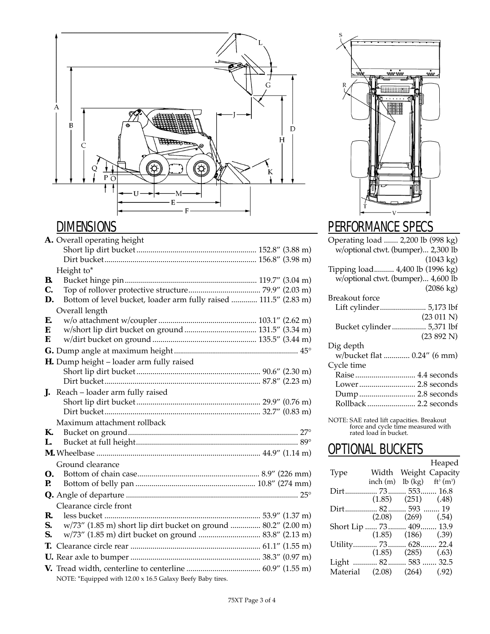

## **DIMENSIONS**

|    | A. Overall operating height                                      |
|----|------------------------------------------------------------------|
|    |                                                                  |
|    |                                                                  |
|    | Height to*                                                       |
| В. |                                                                  |
| C. |                                                                  |
| D. | Bottom of level bucket, loader arm fully raised  111.5" (2.83 m) |
|    | Overall length                                                   |
| E. |                                                                  |
| E. |                                                                  |
| F. |                                                                  |
|    |                                                                  |
|    | H. Dump height - loader arm fully raised                         |
|    |                                                                  |
|    |                                                                  |
| J. | Reach - loader arm fully raised                                  |
|    |                                                                  |
|    |                                                                  |
|    | Maximum attachment rollback                                      |
| К. |                                                                  |
| L. |                                                                  |
|    |                                                                  |
|    | Ground clearance                                                 |
| Ω. |                                                                  |
| P. |                                                                  |
|    |                                                                  |
|    | Clearance circle front                                           |
| R. |                                                                  |
| S. | w/73" (1.85 m) short lip dirt bucket on ground  80.2" (2.00 m)   |
| S. | w/73" (1.85 m) dirt bucket on ground  83.8" (2.13 m)             |
| Т. |                                                                  |
|    |                                                                  |
|    |                                                                  |
|    | NOTE: *Equipped with 12.00 x 16.5 Galaxy Beefy Baby tires.       |



# PERFORMANCE SPECS

| Operating load  2,200 lb (998 kg)  |
|------------------------------------|
| w/optional ctwt. (bumper) 2,300 lb |
| $(1043 \text{ kg})$                |
| Tipping load 4,400 lb (1996 kg)    |
| w/optional ctwt. (bumper) 4,600 lb |
| $(2086 \text{ kg})$                |
| Breakout force                     |
| Lift cylinder 5,173 lbf            |
| (23 011 N)                         |
| Bucket cylinder 5,371 lbf          |
| (23 892 N)                         |
| Dig depth                          |
| w/bucket flat  0.24" (6 mm)        |
| Cycle time                         |
| Raise  4.4 seconds                 |
| Lower 2.8 seconds                  |
| Dump 2.8 seconds                   |
| Rollback  2.2 seconds              |
|                                    |

NOTE: SAE rated lift capacities. Breakout force and cycle time measured with rated load in bucket.

### **OPTIONAL BUCKETS**

|                 |              |                           | Heaped          |
|-----------------|--------------|---------------------------|-----------------|
| Type            | Width        |                           | Weight Capacity |
|                 | inch(m)      | $lb$ $(kg)$               | $ft^3(m^3)$     |
|                 |              |                           |                 |
|                 |              | $(1.85)$ $(251)$ $(0.48)$ |                 |
| Dirt 82 593  19 |              |                           |                 |
|                 | (2.08)       | (269)                     | (.54)           |
| Short Lip  73   |              | 409                       | 13.9            |
|                 | (1.85)       | (186)                     | (.39)           |
| Utility 73      |              | $\ldots$ 628.             | 22.4            |
|                 | (1.85)       | (285)                     | (.63)           |
| Light           | 82 583  32.5 |                           |                 |
| Material        | (2.08)       | (264)                     | (.92)           |